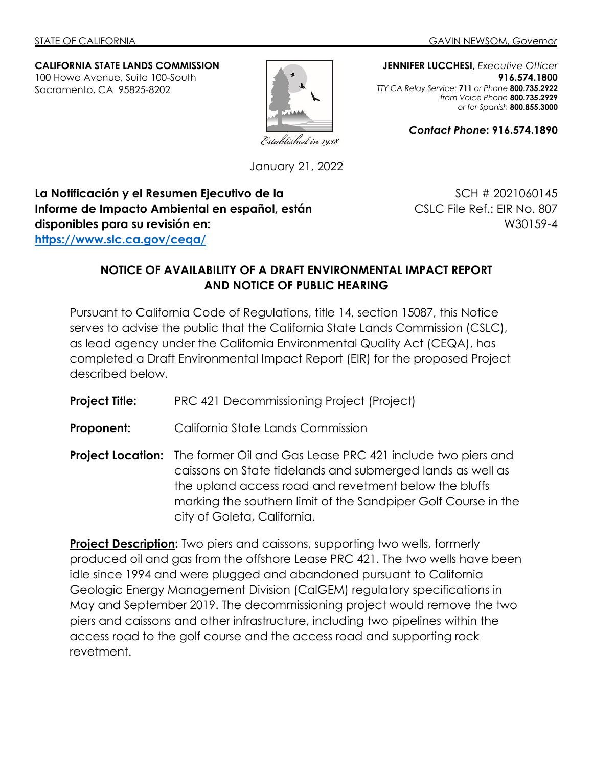#### **CALIFORNIA STATE LANDS COMMISSION** 100 Howe Avenue, Suite 100-South

Sacramento, CA 95825-8202



**JENNIFER LUCCHESI,** *Executive Officer* **916.574.1800** *TTY CA Relay Service:* **711** *or Phone* **800.735.2922** *from Voice Phone* **800.735.2929** *or for Spanish* **800.855.3000**

*Contact Phone***: 916.574.1890**

January 21, 2022

**La Notificación y el Resumen Ejecutivo de la Informe de Impacto Ambiental en español, están disponibles para su revisión en: <https://www.slc.ca.gov/ceqa/>**

SCH # 2021060145 CSLC File Ref.: EIR No. 807 W30159-4

# **NOTICE OF AVAILABILITY OF A DRAFT ENVIRONMENTAL IMPACT REPORT AND NOTICE OF PUBLIC HEARING**

Pursuant to California Code of Regulations, title 14, section 15087, this Notice serves to advise the public that the California State Lands Commission (CSLC), as lead agency under the California Environmental Quality Act (CEQA), has completed a Draft Environmental Impact Report (EIR) for the proposed Project described below.

**Project Title:** PRC 421 Decommissioning Project (Project)

**Proponent:** California State Lands Commission

**Project Location:** The former Oil and Gas Lease PRC 421 include two piers and caissons on State tidelands and submerged lands as well as the upland access road and revetment below the bluffs marking the southern limit of the Sandpiper Golf Course in the city of Goleta, California.

**Project Description:** Two piers and caissons, supporting two wells, formerly produced oil and gas from the offshore Lease PRC 421. The two wells have been idle since 1994 and were plugged and abandoned pursuant to California Geologic Energy Management Division (CalGEM) regulatory specifications in May and September 2019. The decommissioning project would remove the two piers and caissons and other infrastructure, including two pipelines within the access road to the golf course and the access road and supporting rock revetment.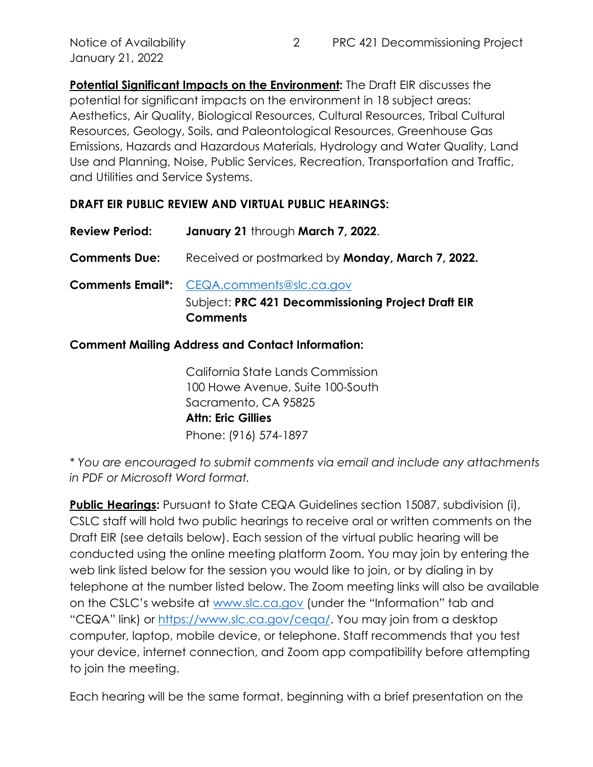**Potential Significant Impacts on the Environment:** The Draft EIR discusses the potential for significant impacts on the environment in 18 subject areas: Aesthetics, Air Quality, Biological Resources, Cultural Resources, Tribal Cultural Resources, Geology, Soils, and Paleontological Resources, Greenhouse Gas Emissions, Hazards and Hazardous Materials, Hydrology and Water Quality, Land Use and Planning, Noise, Public Services, Recreation, Transportation and Traffic, and Utilities and Service Systems.

## **DRAFT EIR PUBLIC REVIEW AND VIRTUAL PUBLIC HEARINGS:**

| <b>Review Period:</b> | January 21 through March 7, 2022.                       |
|-----------------------|---------------------------------------------------------|
| <b>Comments Due:</b>  | Received or postmarked by <b>Monday, March 7, 2022.</b> |
|                       | <b>Comments Email*:</b> CEQA.comments@slc.ca.gov        |
|                       | Subject: PRC 421 Decommissioning Project Draft EIR      |

#### **Comment Mailing Address and Contact Information:**

**Comments**

California State Lands Commission 100 Howe Avenue, Suite 100-South Sacramento, CA 95825 **Attn: Eric Gillies** Phone: (916) 574-1897

*\* You are encouraged to submit comments via email and include any attachments in PDF or Microsoft Word format.* 

**Public Hearings:** Pursuant to State CEQA Guidelines section 15087, subdivision (i), CSLC staff will hold two public hearings to receive oral or written comments on the Draft EIR (see details below). Each session of the virtual public hearing will be conducted using the online meeting platform Zoom. You may join by entering the web link listed below for the session you would like to join, or by dialing in by telephone at the number listed below. The Zoom meeting links will also be available on the CSLC's website at [www.slc.ca.gov](http://www.slc.ca.gov/) (under the "Information" tab and "CEQA" link) or [https://www.slc.ca.gov/ceqa/.](https://www.slc.ca.gov/ceqa/) You may join from a desktop computer, laptop, mobile device, or telephone. Staff recommends that you test your device, internet connection, and Zoom app compatibility before attempting to join the meeting.

Each hearing will be the same format, beginning with a brief presentation on the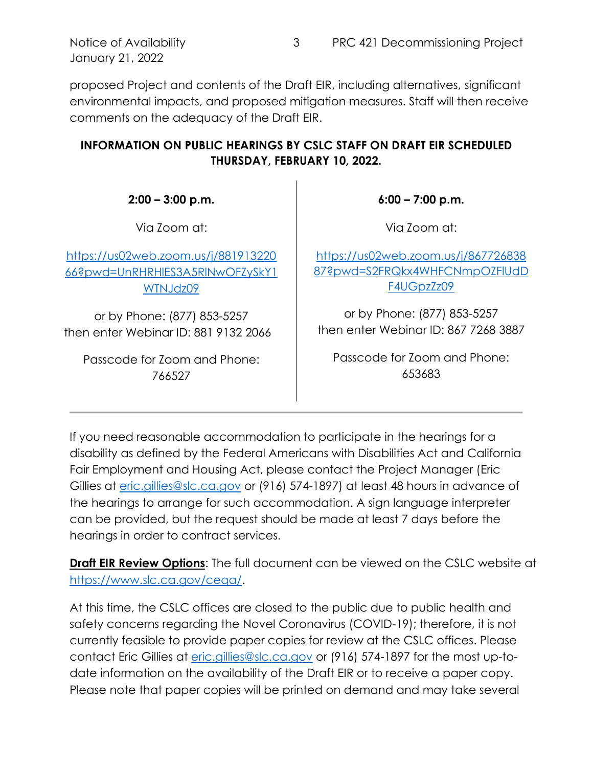January 21, 2022

proposed Project and contents of the Draft EIR, including alternatives, significant environmental impacts, and proposed mitigation measures. Staff will then receive comments on the adequacy of the Draft EIR.

# **INFORMATION ON PUBLIC HEARINGS BY CSLC STAFF ON DRAFT EIR SCHEDULED THURSDAY, FEBRUARY 10, 2022.**

**2:00 – 3:00 p.m.**

Via Zoom at:

[https://us02web.zoom.us/j/881913220](https://gcc02.safelinks.protection.outlook.com/?url=https%3A%2F%2Fus02web.zoom.us%2Fj%2F88191322066%3Fpwd%3DUnRHRHlES3A5RlNwOFZySkY1WTNJdz09&data=04%7C01%7CEric.Gillies%40slc.ca.gov%7C70c5e3b735be4395c67d08d9d5e7705d%7C5d87bd7bd6df44c49e8fb0895e3dffe7%7C0%7C0%7C637776012270136617%7CUnknown%7CTWFpbGZsb3d8eyJWIjoiMC4wLjAwMDAiLCJQIjoiV2luMzIiLCJBTiI6Ik1haWwiLCJXVCI6Mn0%3D%7C3000&sdata=GAsLSvU009MqMh9MYCTZNud%2FD5cUChW038VXQe5ITys%3D&reserved=0) [66?pwd=UnRHRHlES3A5RlNwOFZySkY1](https://gcc02.safelinks.protection.outlook.com/?url=https%3A%2F%2Fus02web.zoom.us%2Fj%2F88191322066%3Fpwd%3DUnRHRHlES3A5RlNwOFZySkY1WTNJdz09&data=04%7C01%7CEric.Gillies%40slc.ca.gov%7C70c5e3b735be4395c67d08d9d5e7705d%7C5d87bd7bd6df44c49e8fb0895e3dffe7%7C0%7C0%7C637776012270136617%7CUnknown%7CTWFpbGZsb3d8eyJWIjoiMC4wLjAwMDAiLCJQIjoiV2luMzIiLCJBTiI6Ik1haWwiLCJXVCI6Mn0%3D%7C3000&sdata=GAsLSvU009MqMh9MYCTZNud%2FD5cUChW038VXQe5ITys%3D&reserved=0) [WTNJdz09](https://gcc02.safelinks.protection.outlook.com/?url=https%3A%2F%2Fus02web.zoom.us%2Fj%2F88191322066%3Fpwd%3DUnRHRHlES3A5RlNwOFZySkY1WTNJdz09&data=04%7C01%7CEric.Gillies%40slc.ca.gov%7C70c5e3b735be4395c67d08d9d5e7705d%7C5d87bd7bd6df44c49e8fb0895e3dffe7%7C0%7C0%7C637776012270136617%7CUnknown%7CTWFpbGZsb3d8eyJWIjoiMC4wLjAwMDAiLCJQIjoiV2luMzIiLCJBTiI6Ik1haWwiLCJXVCI6Mn0%3D%7C3000&sdata=GAsLSvU009MqMh9MYCTZNud%2FD5cUChW038VXQe5ITys%3D&reserved=0)

or by Phone: (877) 853-5257 then enter Webinar ID: 881 9132 2066

Passcode for Zoom and Phone: 766527

**6:00 – 7:00 p.m.**

Via Zoom at:

[https://us02web.zoom.us/j/867726838](https://gcc02.safelinks.protection.outlook.com/?url=https%3A%2F%2Fus02web.zoom.us%2Fj%2F86772683887%3Fpwd%3DS2FRQkx4WHFCNmpOZFlUdDF4UGpzZz09&data=04%7C01%7CEric.Gillies%40slc.ca.gov%7C70c5e3b735be4395c67d08d9d5e7705d%7C5d87bd7bd6df44c49e8fb0895e3dffe7%7C0%7C0%7C637776012270136617%7CUnknown%7CTWFpbGZsb3d8eyJWIjoiMC4wLjAwMDAiLCJQIjoiV2luMzIiLCJBTiI6Ik1haWwiLCJXVCI6Mn0%3D%7C3000&sdata=XTRfT8yBpV%2B3%2BylmEgePFD4ZOFiGoW%2FEO%2BRsX2%2BIzbA%3D&reserved=0) [87?pwd=S2FRQkx4WHFCNmpOZFlUdD](https://gcc02.safelinks.protection.outlook.com/?url=https%3A%2F%2Fus02web.zoom.us%2Fj%2F86772683887%3Fpwd%3DS2FRQkx4WHFCNmpOZFlUdDF4UGpzZz09&data=04%7C01%7CEric.Gillies%40slc.ca.gov%7C70c5e3b735be4395c67d08d9d5e7705d%7C5d87bd7bd6df44c49e8fb0895e3dffe7%7C0%7C0%7C637776012270136617%7CUnknown%7CTWFpbGZsb3d8eyJWIjoiMC4wLjAwMDAiLCJQIjoiV2luMzIiLCJBTiI6Ik1haWwiLCJXVCI6Mn0%3D%7C3000&sdata=XTRfT8yBpV%2B3%2BylmEgePFD4ZOFiGoW%2FEO%2BRsX2%2BIzbA%3D&reserved=0) [F4UGpzZz09](https://gcc02.safelinks.protection.outlook.com/?url=https%3A%2F%2Fus02web.zoom.us%2Fj%2F86772683887%3Fpwd%3DS2FRQkx4WHFCNmpOZFlUdDF4UGpzZz09&data=04%7C01%7CEric.Gillies%40slc.ca.gov%7C70c5e3b735be4395c67d08d9d5e7705d%7C5d87bd7bd6df44c49e8fb0895e3dffe7%7C0%7C0%7C637776012270136617%7CUnknown%7CTWFpbGZsb3d8eyJWIjoiMC4wLjAwMDAiLCJQIjoiV2luMzIiLCJBTiI6Ik1haWwiLCJXVCI6Mn0%3D%7C3000&sdata=XTRfT8yBpV%2B3%2BylmEgePFD4ZOFiGoW%2FEO%2BRsX2%2BIzbA%3D&reserved=0)

or by Phone: (877) 853-5257 then enter Webinar ID: 867 7268 3887

Passcode for Zoom and Phone: 653683

If you need reasonable accommodation to participate in the hearings for a disability as defined by the Federal Americans with Disabilities Act and California Fair Employment and Housing Act, please contact the Project Manager (Eric Gillies at [eric.gillies@slc.ca.gov](mailto:eric.gillies@slc.ca.gov) or (916) 574-1897) at least 48 hours in advance of the hearings to arrange for such accommodation. A sign language interpreter can be provided, but the request should be made at least 7 days before the hearings in order to contract services.

**Draft EIR Review Options**: The full document can be viewed on the CSLC website at https://www.slc.ca.gov/ceaa/.

At this time, the CSLC offices are closed to the public due to public health and safety concerns regarding the Novel Coronavirus (COVID-19); therefore, it is not currently feasible to provide paper copies for review at the CSLC offices. Please contact Eric Gillies at [eric.gillies@slc.ca.gov](mailto:eric.gillies@slc.ca.gov) or (916) 574-1897 for the most up-todate information on the availability of the Draft EIR or to receive a paper copy. Please note that paper copies will be printed on demand and may take several